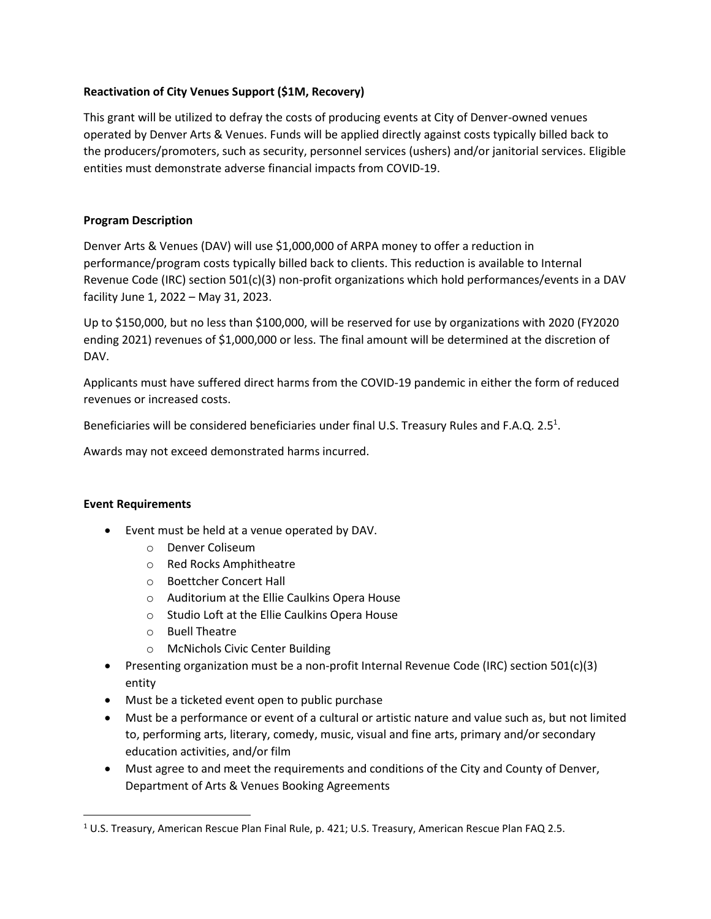# **Reactivation of City Venues Support (\$1M, Recovery)**

This grant will be utilized to defray the costs of producing events at City of Denver-owned venues operated by Denver Arts & Venues. Funds will be applied directly against costs typically billed back to the producers/promoters, such as security, personnel services (ushers) and/or janitorial services. Eligible entities must demonstrate adverse financial impacts from COVID-19.

# **Program Description**

Denver Arts & Venues (DAV) will use \$1,000,000 of ARPA money to offer a reduction in performance/program costs typically billed back to clients. This reduction is available to Internal Revenue Code (IRC) section 501(c)(3) non-profit organizations which hold performances/events in a DAV facility June 1, 2022 – May 31, 2023.

Up to \$150,000, but no less than \$100,000, will be reserved for use by organizations with 2020 (FY2020 ending 2021) revenues of \$1,000,000 or less. The final amount will be determined at the discretion of DAV.

Applicants must have suffered direct harms from the COVID-19 pandemic in either the form of reduced revenues or increased costs.

Beneficiaries will be considered beneficiaries under final U.S. Treasury Rules and F.A.Q. 2.5<sup>1</sup>.

Awards may not exceed demonstrated harms incurred.

## **Event Requirements**

- Event must be held at a venue operated by DAV.
	- o Denver Coliseum
	- o Red Rocks Amphitheatre
	- o Boettcher Concert Hall
	- o Auditorium at the Ellie Caulkins Opera House
	- o Studio Loft at the Ellie Caulkins Opera House
	- o Buell Theatre
	- o McNichols Civic Center Building
- Presenting organization must be a non-profit Internal Revenue Code (IRC) section 501(c)(3) entity
- Must be a ticketed event open to public purchase
- Must be a performance or event of a cultural or artistic nature and value such as, but not limited to, performing arts, literary, comedy, music, visual and fine arts, primary and/or secondary education activities, and/or film
- Must agree to and meet the requirements and conditions of the City and County of Denver, Department of Arts & Venues Booking Agreements

<sup>1</sup> U.S. Treasury, American Rescue Plan Final Rule, p. 421; U.S. Treasury, American Rescue Plan FAQ 2.5.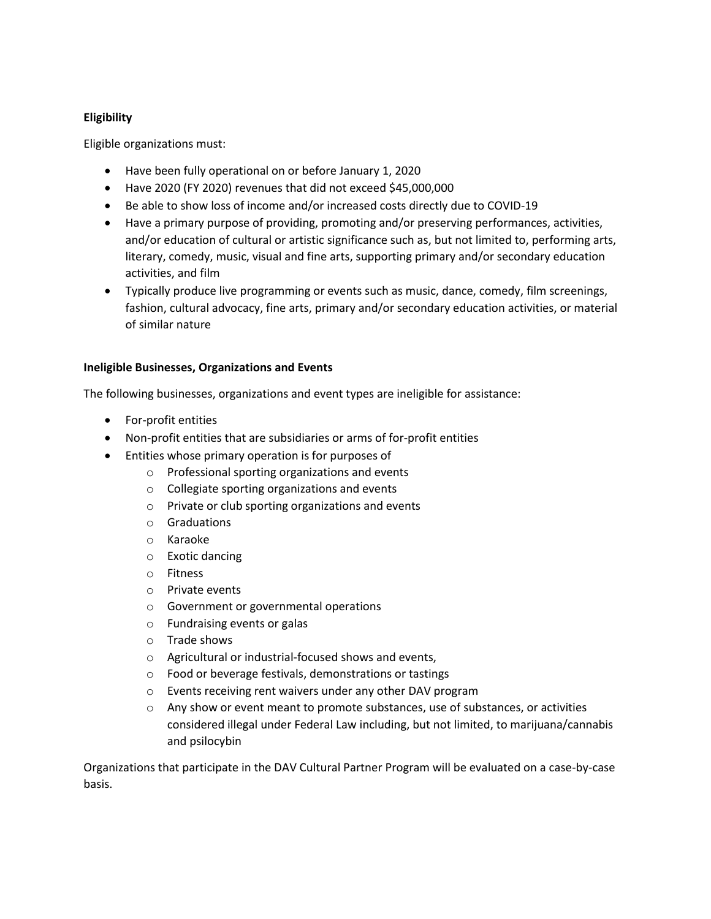# **Eligibility**

Eligible organizations must:

- Have been fully operational on or before January 1, 2020
- Have 2020 (FY 2020) revenues that did not exceed \$45,000,000
- Be able to show loss of income and/or increased costs directly due to COVID-19
- Have a primary purpose of providing, promoting and/or preserving performances, activities, and/or education of cultural or artistic significance such as, but not limited to, performing arts, literary, comedy, music, visual and fine arts, supporting primary and/or secondary education activities, and film
- Typically produce live programming or events such as music, dance, comedy, film screenings, fashion, cultural advocacy, fine arts, primary and/or secondary education activities, or material of similar nature

# **Ineligible Businesses, Organizations and Events**

The following businesses, organizations and event types are ineligible for assistance:

- For-profit entities
- Non-profit entities that are subsidiaries or arms of for-profit entities
- Entities whose primary operation is for purposes of
	- o Professional sporting organizations and events
	- o Collegiate sporting organizations and events
	- o Private or club sporting organizations and events
	- o Graduations
	- o Karaoke
	- o Exotic dancing
	- o Fitness
	- o Private events
	- o Government or governmental operations
	- o Fundraising events or galas
	- o Trade shows
	- o Agricultural or industrial-focused shows and events,
	- o Food or beverage festivals, demonstrations or tastings
	- o Events receiving rent waivers under any other DAV program
	- $\circ$  Any show or event meant to promote substances, use of substances, or activities considered illegal under Federal Law including, but not limited, to marijuana/cannabis and psilocybin

Organizations that participate in the DAV Cultural Partner Program will be evaluated on a case-by-case basis.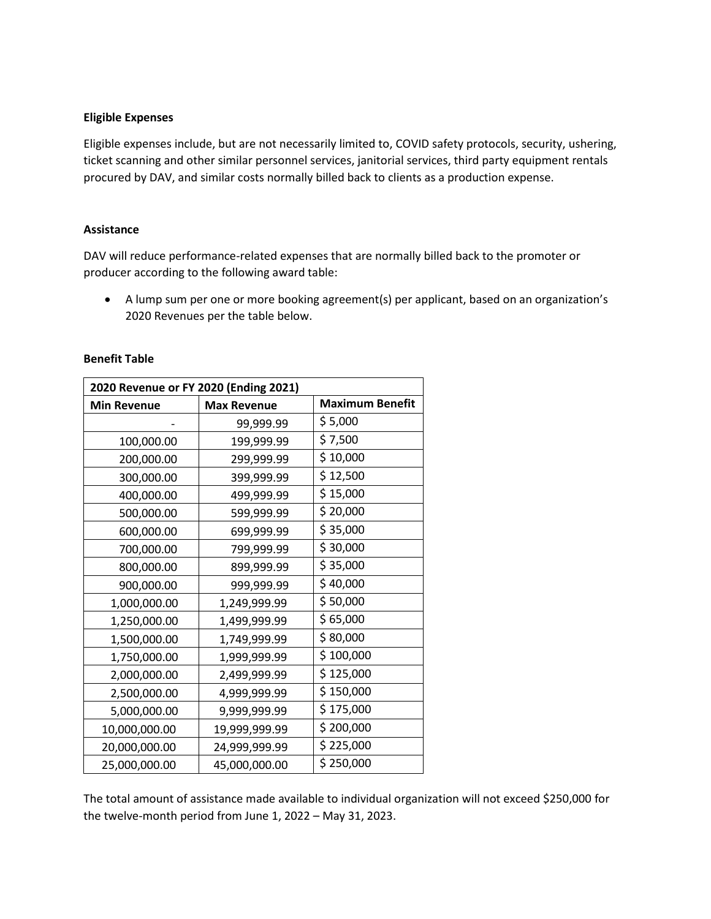#### **Eligible Expenses**

Eligible expenses include, but are not necessarily limited to, COVID safety protocols, security, ushering, ticket scanning and other similar personnel services, janitorial services, third party equipment rentals procured by DAV, and similar costs normally billed back to clients as a production expense.

### **Assistance**

DAV will reduce performance-related expenses that are normally billed back to the promoter or producer according to the following award table:

• A lump sum per one or more booking agreement(s) per applicant, based on an organization's 2020 Revenues per the table below.

| 2020 Revenue or FY 2020 (Ending 2021) |                    |                        |
|---------------------------------------|--------------------|------------------------|
| <b>Min Revenue</b>                    | <b>Max Revenue</b> | <b>Maximum Benefit</b> |
|                                       | 99,999.99          | \$5,000                |
| 100,000.00                            | 199,999.99         | \$7,500                |
| 200,000.00                            | 299,999.99         | \$10,000               |
| 300,000.00                            | 399,999.99         | \$12,500               |
| 400,000.00                            | 499,999.99         | \$15,000               |
| 500,000.00                            | 599,999.99         | \$20,000               |
| 600,000.00                            | 699,999.99         | \$35,000               |
| 700,000.00                            | 799,999.99         | \$30,000               |
| 800,000.00                            | 899,999.99         | \$35,000               |
| 900,000.00                            | 999,999.99         | \$40,000               |
| 1,000,000.00                          | 1,249,999.99       | \$50,000               |
| 1,250,000.00                          | 1,499,999.99       | \$65,000               |
| 1,500,000.00                          | 1,749,999.99       | \$80,000               |
| 1,750,000.00                          | 1,999,999.99       | \$100,000              |
| 2,000,000.00                          | 2,499,999.99       | \$125,000              |
| 2,500,000.00                          | 4,999,999.99       | \$150,000              |
| 5,000,000.00                          | 9,999,999.99       | \$175,000              |
| 10,000,000.00                         | 19,999,999.99      | \$200,000              |
| 20,000,000.00                         | 24,999,999.99      | \$225,000              |
| 25,000,000.00                         | 45,000,000.00      | \$250,000              |

### **Benefit Table**

The total amount of assistance made available to individual organization will not exceed \$250,000 for the twelve-month period from June 1, 2022 – May 31, 2023.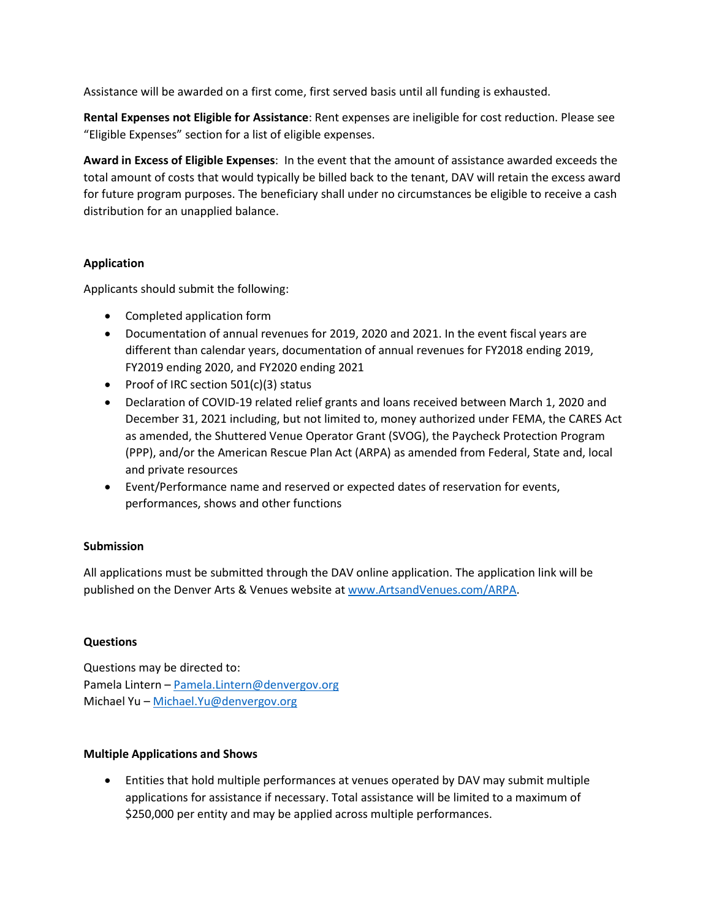Assistance will be awarded on a first come, first served basis until all funding is exhausted.

**Rental Expenses not Eligible for Assistance**: Rent expenses are ineligible for cost reduction. Please see "Eligible Expenses" section for a list of eligible expenses.

**Award in Excess of Eligible Expenses**: In the event that the amount of assistance awarded exceeds the total amount of costs that would typically be billed back to the tenant, DAV will retain the excess award for future program purposes. The beneficiary shall under no circumstances be eligible to receive a cash distribution for an unapplied balance.

# **Application**

Applicants should submit the following:

- Completed application form
- Documentation of annual revenues for 2019, 2020 and 2021. In the event fiscal years are different than calendar years, documentation of annual revenues for FY2018 ending 2019, FY2019 ending 2020, and FY2020 ending 2021
- Proof of IRC section 501(c)(3) status
- Declaration of COVID-19 related relief grants and loans received between March 1, 2020 and December 31, 2021 including, but not limited to, money authorized under FEMA, the CARES Act as amended, the Shuttered Venue Operator Grant (SVOG), the Paycheck Protection Program (PPP), and/or the American Rescue Plan Act (ARPA) as amended from Federal, State and, local and private resources
- Event/Performance name and reserved or expected dates of reservation for events, performances, shows and other functions

# **Submission**

All applications must be submitted through the DAV online application. The application link will be published on the Denver Arts & Venues website a[t www.ArtsandVenues.com/ARPA.](http://www.artsandvenues.com/ARPA)

# **Questions**

Questions may be directed to: Pamela Lintern – [Pamela.Lintern@denvergov.org](mailto:Pamela.Lintern@denvergov.org) Michael Yu – [Michael.Yu@denvergov.org](mailto:Michael.Yu@denvergov.org)

## **Multiple Applications and Shows**

• Entities that hold multiple performances at venues operated by DAV may submit multiple applications for assistance if necessary. Total assistance will be limited to a maximum of \$250,000 per entity and may be applied across multiple performances.